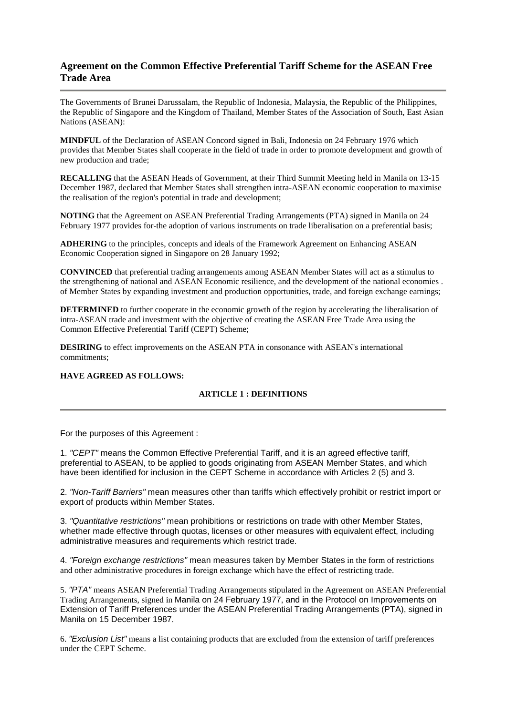# **Agreement on the Common Effective Preferential Tariff Scheme for the ASEAN Free Trade Area**

The Governments of Brunei Darussalam, the Republic of Indonesia, Malaysia, the Republic of the Philippines, the Republic of Singapore and the Kingdom of Thailand, Member States of the Association of South, East Asian Nations (ASEAN):

**MINDFUL** of the Declaration of ASEAN Concord signed in Bali, Indonesia on 24 February 1976 which provides that Member States shall cooperate in the field of trade in order to promote development and growth of new production and trade;

**RECALLING** that the ASEAN Heads of Government, at their Third Summit Meeting held in Manila on 13-15 December 1987, declared that Member States shall strengthen intra-ASEAN economic cooperation to maximise the realisation of the region's potential in trade and development;

**NOTING** that the Agreement on ASEAN Preferential Trading Arrangements (PTA) signed in Manila on 24 February 1977 provides for-the adoption of various instruments on trade liberalisation on a preferential basis;

**ADHERING** to the principles, concepts and ideals of the Framework Agreement on Enhancing ASEAN Economic Cooperation signed in Singapore on 28 January 1992;

**CONVINCED** that preferential trading arrangements among ASEAN Member States will act as a stimulus to the strengthening of national and ASEAN Economic resilience, and the development of the national economies . of Member States by expanding investment and production opportunities, trade, and foreign exchange earnings;

**DETERMINED** to further cooperate in the economic growth of the region by accelerating the liberalisation of intra-ASEAN trade and investment with the objective of creating the ASEAN Free Trade Area using the Common Effective Preferential Tariff (CEPT) Scheme;

**DESIRING** to effect improvements on the ASEAN PTA in consonance with ASEAN's international commitments;

# **HAVE AGREED AS FOLLOWS:**

### **ARTICLE 1 : DEFINITIONS**

For the purposes of this Agreement :

1. "CEPT" means the Common Effective Preferential Tariff, and it is an agreed effective tariff, preferential to ASEAN, to be applied to goods originating from ASEAN Member States, and which have been identified for inclusion in the CEPT Scheme in accordance with Articles 2 (5) and 3.

2. "Non-Tariff Barriers" mean measures other than tariffs which effectively prohibit or restrict import or export of products within Member States.

3. "Quantitative restrictions" mean prohibitions or restrictions on trade with other Member States, whether made effective through quotas, licenses or other measures with equivalent effect, including administrative measures and requirements which restrict trade.

4. "Foreign exchange restrictions" mean measures taken by Member States in the form of restrictions and other administrative procedures in foreign exchange which have the effect of restricting trade.

5. "PTA" means ASEAN Preferential Trading Arrangements stipulated in the Agreement on ASEAN Preferential Trading Arrangements, signed in Manila on 24 February 1977, and in the Protocol on Improvements on Extension of Tariff Preferences under the ASEAN Preferential Trading Arrangements (PTA), signed in Manila on 15 December 1987.

6. "Exclusion List" means a list containing products that are excluded from the extension of tariff preferences under the CEPT Scheme.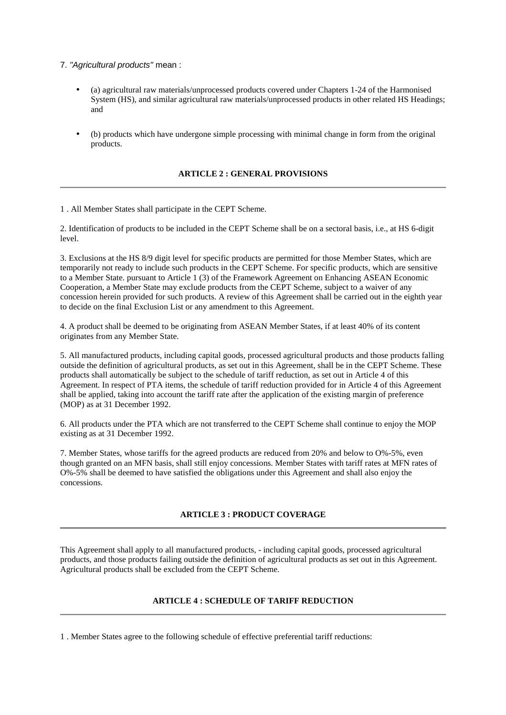### 7. "Agricultural products" mean :

- (a) agricultural raw materials/unprocessed products covered under Chapters 1-24 of the Harmonised System (HS), and similar agricultural raw materials/unprocessed products in other related HS Headings; and
- (b) products which have undergone simple processing with minimal change in form from the original products.

# **ARTICLE 2 : GENERAL PROVISIONS**

1 . All Member States shall participate in the CEPT Scheme.

2. Identification of products to be included in the CEPT Scheme shall be on a sectoral basis, i.e., at HS 6-digit level.

3. Exclusions at the HS 8/9 digit level for specific products are permitted for those Member States, which are temporarily not ready to include such products in the CEPT Scheme. For specific products, which are sensitive to a Member State. pursuant to Article 1 (3) of the Framework Agreement on Enhancing ASEAN Economic Cooperation, a Member State may exclude products from the CEPT Scheme, subject to a waiver of any concession herein provided for such products. A review of this Agreement shall be carried out in the eighth year to decide on the final Exclusion List or any amendment to this Agreement.

4. A product shall be deemed to be originating from ASEAN Member States, if at least 40% of its content originates from any Member State.

5. All manufactured products, including capital goods, processed agricultural products and those products falling outside the definition of agricultural products, as set out in this Agreement, shall be in the CEPT Scheme. These products shall automatically be subject to the schedule of tariff reduction, as set out in Article 4 of this Agreement. In respect of PTA items, the schedule of tariff reduction provided for in Article 4 of this Agreement shall be applied, taking into account the tariff rate after the application of the existing margin of preference (MOP) as at 31 December 1992.

6. All products under the PTA which are not transferred to the CEPT Scheme shall continue to enjoy the MOP existing as at 31 December 1992.

7. Member States, whose tariffs for the agreed products are reduced from 20% and below to O%-5%, even though granted on an MFN basis, shall still enjoy concessions. Member States with tariff rates at MFN rates of O%-5% shall be deemed to have satisfied the obligations under this Agreement and shall also enjoy the concessions.

### **ARTICLE 3 : PRODUCT COVERAGE**

This Agreement shall apply to all manufactured products, - including capital goods, processed agricultural products, and those products failing outside the definition of agricultural products as set out in this Agreement. Agricultural products shall be excluded from the CEPT Scheme.

# **ARTICLE 4 : SCHEDULE OF TARIFF REDUCTION**

1 . Member States agree to the following schedule of effective preferential tariff reductions: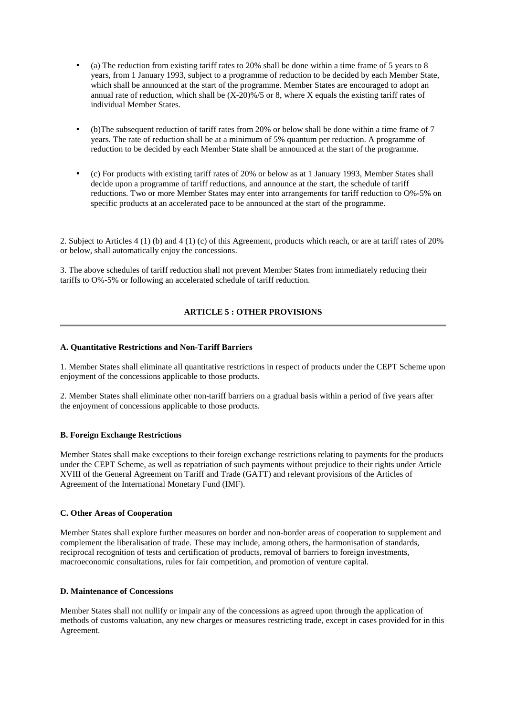- (a) The reduction from existing tariff rates to  $20\%$  shall be done within a time frame of 5 years to 8 years, from 1 January 1993, subject to a programme of reduction to be decided by each Member State, which shall be announced at the start of the programme. Member States are encouraged to adopt an annual rate of reduction, which shall be  $(X-20)\% / 5$  or 8, where X equals the existing tariff rates of individual Member States.
- • (b)The subsequent reduction of tariff rates from 20% or below shall be done within a time frame of 7 years. The rate of reduction shall be at a minimum of 5% quantum per reduction. A programme of reduction to be decided by each Member State shall be announced at the start of the programme.
- $\epsilon$ ) For products with existing tariff rates of 20% or below as at 1 January 1993, Member States shall decide upon a programme of tariff reductions, and announce at the start, the schedule of tariff reductions. Two or more Member States may enter into arrangements for tariff reduction to O%-5% on specific products at an accelerated pace to be announced at the start of the programme.

2. Subject to Articles 4 (1) (b) and 4 (1) (c) of this Agreement, products which reach, or are at tariff rates of 20% or below, shall automatically enjoy the concessions.

3. The above schedules of tariff reduction shall not prevent Member States from immediately reducing their tariffs to O%-5% or following an accelerated schedule of tariff reduction.

# **ARTICLE 5 : OTHER PROVISIONS**

#### **A. Quantitative Restrictions and Non-Tariff Barriers**

1. Member States shall eliminate all quantitative restrictions in respect of products under the CEPT Scheme upon enjoyment of the concessions applicable to those products.

2. Member States shall eliminate other non-tariff barriers on a gradual basis within a period of five years after the enjoyment of concessions applicable to those products.

#### **B. Foreign Exchange Restrictions**

Member States shall make exceptions to their foreign exchange restrictions relating to payments for the products under the CEPT Scheme, as well as repatriation of such payments without prejudice to their rights under Article XVIII of the General Agreement on Tariff and Trade (GATT) and relevant provisions of the Articles of Agreement of the International Monetary Fund (IMF).

#### **C. Other Areas of Cooperation**

Member States shall explore further measures on border and non-border areas of cooperation to supplement and complement the liberalisation of trade. These may include, among others, the harmonisation of standards, reciprocal recognition of tests and certification of products, removal of barriers to foreign investments, macroeconomic consultations, rules for fair competition, and promotion of venture capital.

#### **D. Maintenance of Concessions**

Member States shall not nullify or impair any of the concessions as agreed upon through the application of methods of customs valuation, any new charges or measures restricting trade, except in cases provided for in this Agreement.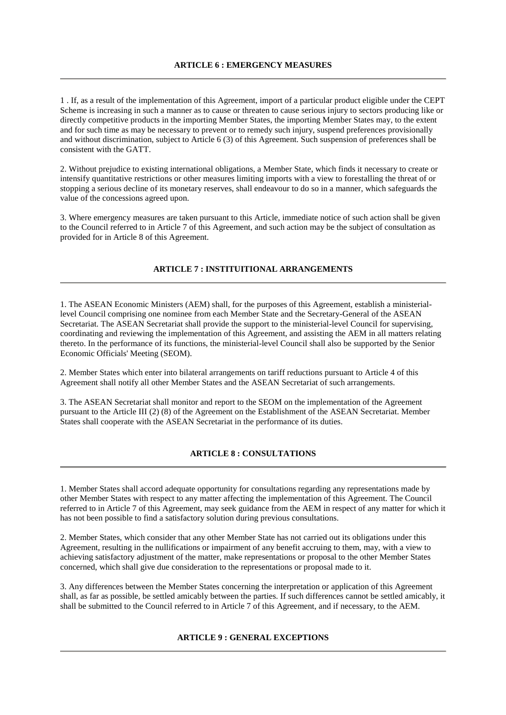1 . If, as a result of the implementation of this Agreement, import of a particular product eligible under the CEPT Scheme is increasing in such a manner as to cause or threaten to cause serious injury to sectors producing like or directly competitive products in the importing Member States, the importing Member States may, to the extent and for such time as may be necessary to prevent or to remedy such injury, suspend preferences provisionally and without discrimination, subject to Article 6 (3) of this Agreement. Such suspension of preferences shall be consistent with the GATT.

2. Without prejudice to existing international obligations, a Member State, which finds it necessary to create or intensify quantitative restrictions or other measures limiting imports with a view to forestalling the threat of or stopping a serious decline of its monetary reserves, shall endeavour to do so in a manner, which safeguards the value of the concessions agreed upon.

3. Where emergency measures are taken pursuant to this Article, immediate notice of such action shall be given to the Council referred to in Article 7 of this Agreement, and such action may be the subject of consultation as provided for in Article 8 of this Agreement.

# **ARTICLE 7 : INSTITUITIONAL ARRANGEMENTS**

1. The ASEAN Economic Ministers (AEM) shall, for the purposes of this Agreement, establish a ministeriallevel Council comprising one nominee from each Member State and the Secretary-General of the ASEAN Secretariat. The ASEAN Secretariat shall provide the support to the ministerial-level Council for supervising, coordinating and reviewing the implementation of this Agreement, and assisting the AEM in all matters relating thereto. In the performance of its functions, the ministerial-level Council shall also be supported by the Senior Economic Officials' Meeting (SEOM).

2. Member States which enter into bilateral arrangements on tariff reductions pursuant to Article 4 of this Agreement shall notify all other Member States and the ASEAN Secretariat of such arrangements.

3. The ASEAN Secretariat shall monitor and report to the SEOM on the implementation of the Agreement pursuant to the Article III (2) (8) of the Agreement on the Establishment of the ASEAN Secretariat. Member States shall cooperate with the ASEAN Secretariat in the performance of its duties.

### **ARTICLE 8 : CONSULTATIONS**

1. Member States shall accord adequate opportunity for consultations regarding any representations made by other Member States with respect to any matter affecting the implementation of this Agreement. The Council referred to in Article 7 of this Agreement, may seek guidance from the AEM in respect of any matter for which it has not been possible to find a satisfactory solution during previous consultations.

2. Member States, which consider that any other Member State has not carried out its obligations under this Agreement, resulting in the nullifications or impairment of any benefit accruing to them, may, with a view to achieving satisfactory adjustment of the matter, make representations or proposal to the other Member States concerned, which shall give due consideration to the representations or proposal made to it.

3. Any differences between the Member States concerning the interpretation or application of this Agreement shall, as far as possible, be settled amicably between the parties. If such differences cannot be settled amicably, it shall be submitted to the Council referred to in Article 7 of this Agreement, and if necessary, to the AEM.

# **ARTICLE 9 : GENERAL EXCEPTIONS**